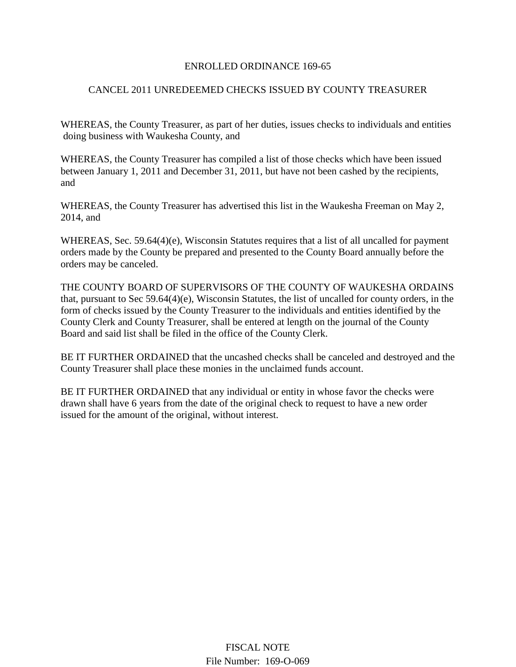## ENROLLED ORDINANCE 169-65

## CANCEL 2011 UNREDEEMED CHECKS ISSUED BY COUNTY TREASURER

WHEREAS, the County Treasurer, as part of her duties, issues checks to individuals and entities doing business with Waukesha County, and

WHEREAS, the County Treasurer has compiled a list of those checks which have been issued between January 1, 2011 and December 31, 2011, but have not been cashed by the recipients, and

WHEREAS, the County Treasurer has advertised this list in the Waukesha Freeman on May 2, 2014, and

WHEREAS, Sec. 59.64(4)(e), Wisconsin Statutes requires that a list of all uncalled for payment orders made by the County be prepared and presented to the County Board annually before the orders may be canceled.

THE COUNTY BOARD OF SUPERVISORS OF THE COUNTY OF WAUKESHA ORDAINS that, pursuant to Sec 59.64(4)(e), Wisconsin Statutes, the list of uncalled for county orders, in the form of checks issued by the County Treasurer to the individuals and entities identified by the County Clerk and County Treasurer, shall be entered at length on the journal of the County Board and said list shall be filed in the office of the County Clerk.

BE IT FURTHER ORDAINED that the uncashed checks shall be canceled and destroyed and the County Treasurer shall place these monies in the unclaimed funds account.

BE IT FURTHER ORDAINED that any individual or entity in whose favor the checks were drawn shall have 6 years from the date of the original check to request to have a new order issued for the amount of the original, without interest.

> FISCAL NOTE File Number: 169-O-069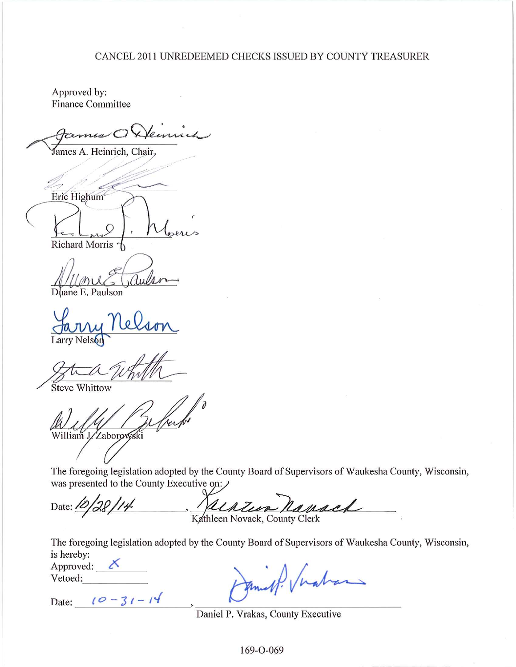## CANCEL 2011 UNREDEEMED CHECKS ISSUED BY COUNTY TREASURER

Approved by: **Finance Committee** 

ames A. Heinrich, Chair,

Eric Highum<sup>®</sup> Richard Morris  $\uparrow$ 

Duane E. Paulson

Larry Nelson

**Steve Whittow** 

William J./Zaborowski

The foregoing legislation adopted by the County Board of Supervisors of Waukesha County, Wisconsin, was presented to the County Executive on:

Kathleen Novack, Country Clerk Date:  $\frac{1}{2}$ 

The foregoing legislation adopted by the County Board of Supervisors of Waukesha County, Wisconsin, is hereby:

Approved:  $X$ Vetoed:

Date:  $10 - 31 - 14$ 

Daniel P. Vrakas, County Executive

169-O-069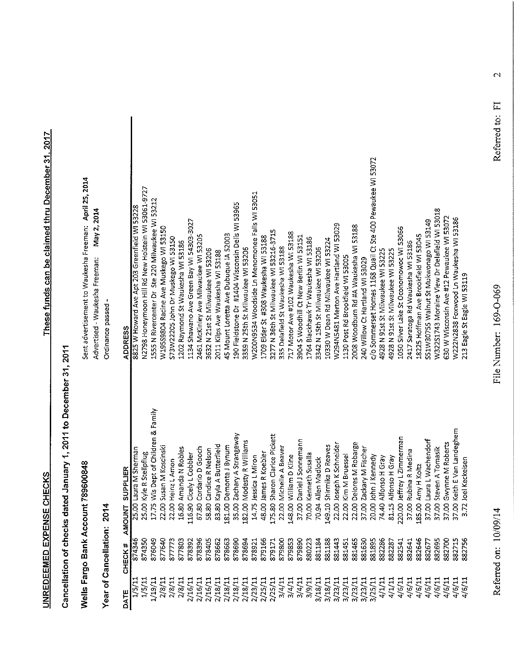Sent advertisement to Waukesha Freeman: April 25, 2014

Advertised - Waukesha Freeman: May 2, 2014

# Wells Fargo Bank Account 789600848

**2014** منامان  $\ddot{\zeta}$ ⊁ँ

| Ordinance passed -    | <b>ADDRESS</b>            | 8825 W Howard Ave Apt 203 Greenfield WI 53228 | N2798 Honeymoon Hill Rd New Holstein WI 53061-9727 | 1555 N Rivercenter Dr Ste 220 Milwaukee WI 53212 | W195S9804 Racine Ave Muskego WI 53150 | S73W22205 John Dr Muskego WI 53150 | 1202 Raymond St Waukesha WI 53186 | 1134 Shawano Ave Green Bay WI 54303-3027 | 2461 McKinley Ave Milwaukee WI 53205 | 3632 N 21st St Milwaukee WI 53206 | 2011 Kilps Ave Waukesha WI 53188 | 45 Mount Loretta Ave Dubuque IA 52003 | 190 Fieldstone Dr #1404 Wisconsin Dells WI 53965 | 3359 N 25th St Milwaukee WI 53206 | W200N9534 Woodside Ln Menomonee Falls WI 53051 | 1709 Elder St #308 Waukesha WI 53188 | 3277 N 36th St Milwaukee WI 53216-3715 | 335 Delafield St Waukesha WI 53188 | 717 Motor Ave #102 Waukesha WI 53188 | 3904 S Woodhill Ct New Berlin WI 53151 | 1764 Blackhawk Tr Waukesha WI 53186 | 3342 N 15th St Milwaukee WI 53206 | 10330 W Dean Rd Milwaukee WI 53224                  | W294N5481 Merton Ave Hartland WI 53029 | 1130 Post Rd Brookfield WI 53005 | 2008 Woodburn Rd #A Waukesha WI 53188 | 240 Willow Ct Hartland WI 53029 | c/o Sommerset Homes 1168 Quail Ct Ste 400 Pewaukee WI 53072 | 4928 N 91st St Milwaukee WI 53225 | 4928 N 91st St Milwaukee WI 53225 | 1050 Silver Lake St Oconomowoc WI 53066 | 2417 Saratoga Rd Waukesha WI 53186 | 18225 Hoffman Ave Brookfield WI 53045 | S51W30755 Walnut St Mukwonago WI 53149 | W322S1743 Moraine View Dr Delafield WI 53018 | 630 W Wisconsin Ave #12 Pewaukee WI 53072 | W222N2838 Foxwood Ln Waukesha WI 53186 | 213 Eagle St Eagle WI 53119 |
|-----------------------|---------------------------|-----------------------------------------------|----------------------------------------------------|--------------------------------------------------|---------------------------------------|------------------------------------|-----------------------------------|------------------------------------------|--------------------------------------|-----------------------------------|----------------------------------|---------------------------------------|--------------------------------------------------|-----------------------------------|------------------------------------------------|--------------------------------------|----------------------------------------|------------------------------------|--------------------------------------|----------------------------------------|-------------------------------------|-----------------------------------|-----------------------------------------------------|----------------------------------------|----------------------------------|---------------------------------------|---------------------------------|-------------------------------------------------------------|-----------------------------------|-----------------------------------|-----------------------------------------|------------------------------------|---------------------------------------|----------------------------------------|----------------------------------------------|-------------------------------------------|----------------------------------------|-----------------------------|
| z<br>S                | <b>SUPPLIER</b><br>AMOUNT | 25.00 Laura M Sherman                         | 25.00 Kyle R Stellpflug                            | 17.75 Wis Dept of Children & Family              | 22.00 Susan M Koscinski               | 22.00 Heinz L Amon                 | 16.80 Amanda N Robles             | 16.90 Cicely L Cobbler<br>⊣              | 67.80 Cordario D Gooch               | 58.80 Candice R Nelson            | 83.80 Kayla A Butterfield        | 181.00 Demonte J Bynum                | 35.00 Zachary A Strangeway                       | 182.00 Modesty R Williams         | 14.75 Jessica L Miron                          | 48.00 James R Koebler                | 175.80 Sharon Clarice Pickett          | 22.00 Michelle A Beaver            | 148.00 William D Kline               | 37.00 Daniel J Sonnemann               | 70.00 Kenneth Susalla               | 70.94 Allen Madlock               | 149.10 Shirmika D Reaves                            | 22.00 Joseph K Schneider               | 22.00 Kim M Bruessel             | 22.00 Delores M Robarge               | 37.00 Zackary M Fischer         | 20.00 John J Kennedy                                        | 74.40 Alfonso H Gray              | 81.15 Alfonso H Gray              | 220.00 Jeffrey L Zimmerman              | 37.00 Rubina R Medina              | 185.00 Amy H Koltz                    | 37.00 Laura L Wachendorf               | 37.00 Steven A Tomasik                       | 37.00 Gwynne M Roberts                    | 37.00 Keith E Van Landeghem            | 3.72 Joel Keckeisen         |
| rear or Cancellation: | <b>CHECK#</b>             | 874346                                        | 874350                                             | 876049                                           | 877640                                | 877773                             | 877803                            | 378392                                   | 878396                               | 878405                            | 878662                           | 878663                                | 878690                                           | 878694                            | 878921                                         | 879166                               | 879171                                 | 879800                             | 879853                               | 879890                                 | 880223                              | 881184                            | 881188                                              | 881443                                 | 881451                           | 881465                                | 881630                          | 881895                                                      | 882286                            | 882287                            | 882541                                  | 882641                             | 882646                                | 882677                                 | 882695                                       | 882700                                    | 882715                                 | 882756                      |
|                       | DATE                      | 1/5/11                                        | 1/5/11                                             | 1/19/11                                          | 2/8/11                                |                                    | 2/8/11<br>2/8/11                  | 2/16/11                                  | 2/16/11                              | 2/16/11                           | 2/18/11                          | 2/18/11                               | 2/18/11                                          | 2/18/11                           | 2/23/11                                        | 2/25/11                              | 2/25/11                                | 3/4/11                             | 3/4/11                               | 3/4/11                                 | 3/9/11                              | 3/18/11                           | 3/18/11<br>3/23/11<br>3/23/11<br>3/23/11<br>3/23/11 |                                        |                                  |                                       |                                 | 3/25/11                                                     | 4/1/11                            | 4/1/11                            | 4/6/11                                  | 4/6/11                             | 4/6/11                                | 4/6/11                                 | 4/6/11                                       | 4/6/11                                    | 4/6/11                                 | 4/6/11                      |

 $\overline{\mathcal{C}}$ 

File Number: 169-O-069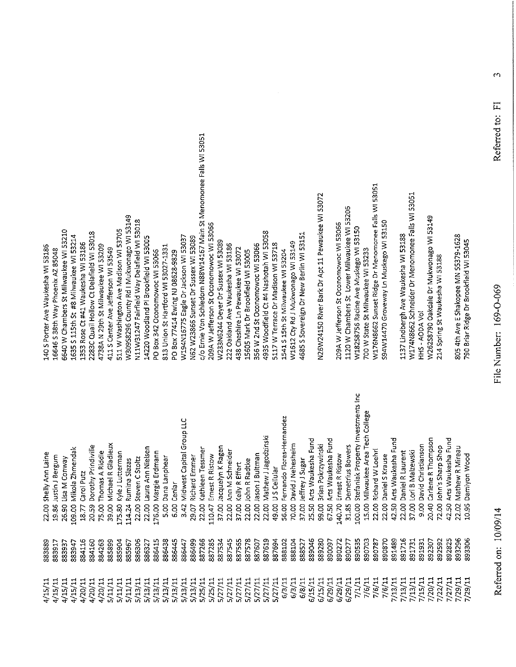$\ddot{\mathbf{c}}$ 

1137 Lindbergh Ave Waukesha WI 53188<br>W174N8662 Schneider Dr Menomonee Falis WI 53051<br>HHS - AODA Vol W262S8790 Oakdale Dr Mukwonago WI 53149<br>214 Spring St Waukesha WI 53188

805 4th Ave E Shakopee MN 55379-1628<br>790 Briar Ridge Dr Brookfield WI 53045

| Shelly Ann Laine | Justin J Bergum | Lisa M Conway   | Mikola Zhmendak  | Carol Putz      | Dorothy Prindiville | Thomas A Riddle | Michael R Gladieux | Kyle J Lutterman | Rumina Slazas    | Steven C Stoltz | Laura Ann Nielsen | Margie Erdmann   | Dana Lanphear<br>5.00 | Cenlar<br>6.00 | Midwest Capital Group LLC<br>3.42 | Richard Emmer   | Kathleen Tessmer | Ernest R Ristow  | Jacquelyn K Ragen | Ann M Schneider | Keily R Effert  | John R Radtke   | Jason J Bultman | Mathew J Jagodzinski | US Cellular     | Fernando Flores-Hernandez | David J Nehesheim | Jeffrey J Sugar | Arts Waukesha Fund | Brian Pokrzywinski | Arts Waukesha Fund | Ernest R Ristow  | Demetrius Bowers | Stefaniak Property Investments Inc | Milwaukee Area Tech College<br>15.00 | Richard W Loehrl<br>22.00 | Daniel S Krause<br>22.00 | Arts Waukesha Fund<br>42.50 | Daniel R Laurent<br>22.00 | Lori B Malzewski<br>37.00 | David Christianson<br>9.00 | Carlene R Thompson<br>20.40 | John's Sharp Shop<br>72.00 | Arts Waukesha Fund | Mathew R Mireau<br>22.02 | Damiyon Wood<br>10.95 |  |
|------------------|-----------------|-----------------|------------------|-----------------|---------------------|-----------------|--------------------|------------------|------------------|-----------------|-------------------|------------------|-----------------------|----------------|-----------------------------------|-----------------|------------------|------------------|-------------------|-----------------|-----------------|-----------------|-----------------|----------------------|-----------------|---------------------------|-------------------|-----------------|--------------------|--------------------|--------------------|------------------|------------------|------------------------------------|--------------------------------------|---------------------------|--------------------------|-----------------------------|---------------------------|---------------------------|----------------------------|-----------------------------|----------------------------|--------------------|--------------------------|-----------------------|--|
| 22.00<br>883889  | 19.86<br>883917 | 26.90<br>883937 | 109.00<br>883947 | 18.77<br>884116 | 20.59<br>884160     | 75.00<br>884263 | 39.00<br>885899    | 175.80<br>885904 | 114.24<br>885967 | 22.00<br>886306 | 22.00<br>886327   | 176.00<br>886415 | 886438                | 886445         | 886447                            | 29.07<br>886499 | 22.00<br>887266  | 110.47<br>887285 | 37.00<br>887534   | 22.00<br>887545 | 37.00<br>887565 | 22.00<br>887578 | 22.00<br>887607 | 22.00<br>887619      | 49.00<br>887694 | 56.00<br>888102           | 70.00<br>888104   | 37.00<br>888527 | 25.50<br>889046    | 99.00<br>889280    | 67.50<br>890097    | 140.70<br>890277 | 31.85<br>890277  | 100.00<br>890535                   | 890703                               | 890787                    | 890870                   | 891489                      | 891716                    | 891731                    | 891931                     | 892307                      | S92592                     | 42.50<br>892825    | 893296                   | 306<br>893            |  |
| 4/15/11          | 4/15/11         | 4/15/11         | 4/15/11          | 4/20/11         | 4/20/11             | 4/20/11         | 5/11/11            | 5/11/11          | 5/11/11          | 5/13/11         | 5/13/11           | 5/13/11          | 5/13/11               | 5/13/11        | 5/13/11                           | 5/13/11         | 5/25/11          | 5/25/11          | 5/27/11           | 5/27/11         | 5/27/11         | 5/27/11         | 5/27/11         | 5/27/11              | 5/27/11         | 6/3/11                    | 6/3/11            | 6/8/11          | 6/15/11            | 6/15/11            | 6/29/11            | 6/29/11          | 6/29/11          | 7/1/11                             | 7/6/11                               | 7/6/11                    | 7/6/11                   | 7/13/11                     | 7/13/11                   | 7/13/11                   | 7/15/11                    | 7/20/11                     | 7/22/11                    | 7/27/11            | 7/29/11                  | 7/29/11               |  |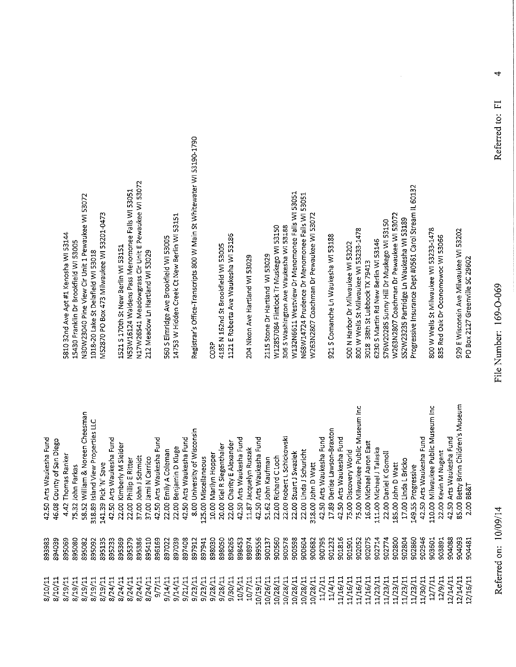4

12/16/11

42.50 Arts Waukesha Fund

393983

 $5/10/11$ 

8/10/11

8/19/11 8/19/11  $5/19/11$ 

N17W26541 Meadowgrass Cir Unit E Pewaukee WI 53072 N53W16124 Waldens Pass Menomonee Falls WI 53051 L521 S 170th St New Berlin WI 53151 212 Meadow Ln Hartland WI 53029

14753 W Hidden Creek Ct New Berlin WI 53151 560 S Elmridge Ave Brookfield WI 53005

 $9/7/11$ 

8/24/11 8/24/11

8/24/11

 $11/61/3$ 

8/24/11 8/24/11

8/19/11

 $9/23/11$ 

 $9/23/11$ 

 $9/28/11$ 9/30/11 10/5/11 10/7/11

 $9/28/11$ 

9/14/11  $9/21/11$ 

 $9/14/11$ 

Registrar's Office-Transcripts 800 W Main St Whitewater WI 53190-1790

CORP

1121 E Roberta Ave Waukesha WI 53186 4185 N 162nd St Brookfield WI 53005

204 Nixon Ave Hartland WI 53029

W132N6611 Westview Dr Menomonee Falls WI 53051 N68W14724 Prudence Dr Menomonee Falls WI 53051 N263N2807 Coachman Dr Pewaukee WI 53072 306 S Washington Ave Waukesha WI 53188 W128S7084 Fiintlock Tr Muskego WI 53150 2115 Stone Dr Hartland WI 53029

921 S Comanche Ln Waukesha WI 53188

 $11/16/11$ 

 $1/16/11$  $1/16/11$   $1/16/11$ 

 $1/23/11$ 

 $1/23/11$  $1/23/11$  11/23/11 11/23/11 11/30/11

12/7/11

 $12/9/11$  $2/14/11$  $2/14/11$ 

Progressive Insurance Dept #0561 Carol Stream IL 60132 W263N2807 Coachman Dr Pewaukee WI 53072 SS2W23235 Partridge Ln Waukesha WI 53189 S76W20285 Sunny Hill Dr Muskego WI 53150 800 W Wells St Milwaukee WI 53233-1478 6230 S Martin Rd New Berlin WI 53146 500 N Harbor Dr Milwaukee WI 53202 3018 38th St Lubbock TX 79413

800 W Wells St Milwaukee WI 53233-1478 335 Red Oak Dr Oconomowoc WI 53066

929 E Wisconsin Ave Milwaukee WI 53202

PO Box 2127 Greenville SC 29602

85.00 Betty Brinn Children's Museum 75.00 Milwaukee Public Museum Inc 110.00 Milwaukee Public Museum Inc 58.52 William & Noreen Cheesman 318.89 Island View Properties LLC 17.89 Denise Lawson-Braxton 8.00 University of Wisconsin 22.00 Robert L Schickowski 42.50 Arts Waukesha Fund 42.50 Arts Waukesha Fund 42.50 Arts Waukesha Fund 42.50 Arts Waukesha Fund 42.50 Arts Waukesha Fund 42.50 Arts Waukesha Fund 42.50 Arts Waukesha Fund 42.50 Arts Waukesha Fund 42.50 Arts Waukesha Fund 46.08 County of San Diego 22.00 Charity E Alexander 16.00 Michael Aaron East 22.00 Kimberly M Sleider 20.00 Kiel R Siegenthaler 22.00 Benjamin D Kluge 111.00 Michael J Talaska 22.00 Emily A Coleman 11.87 Jacquelyn Ruszak 75.00 Discovery World 22.00 Linda J Schuricht 22.00 Stuart J Swaziek 22.00 Kevin M Nugent 10.00 Marilyn Hopper 22.00 Daniel K Gomoll 4.42 Thomas Ranker 37.00 John J Schmidt 37.00 Jami N Carrico 25.00 Miscellaneous 51.62 John Kaufman 22.00 Richard C Loch 22.00 Phillip E Ritter 17.00 Linda L Bricko 318.00 John D Watt .85.00 John D Watt 141.39 Pick 'N' Save 75.32 John Farkas 149.55 Progressive 2.00 BB&T 895369 895410 898265 899556 900578 900682 901816 902075 902804 904088 904093 904481 394039 395092 897941 902800 895069 395379 896169 397039 397408 393030 898050 898453 898974 900137 900560 300598 300795 902052 **PIZ206** 902774 902946 395080 395082 395135 895386 897022 897912 900604 901232 301901 902860 303601 903891 395233

10/28/11

 $0/28/11$ 

10/28/11

10/26/11

 $0/19/11$ 

10/28/11

11/2/11 11/4/11

10/28/11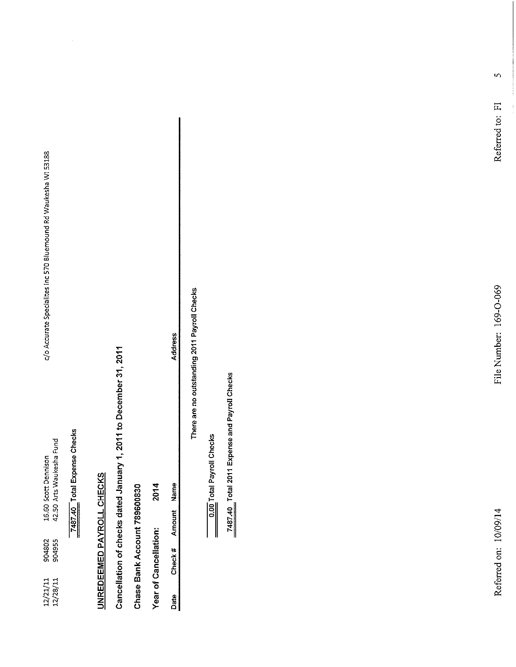16.60 Scott Dennison<br>42.50 Arts Waukesha Fund 904802<br>904955  $\begin{array}{c} 12/21/11 \\ 12/28/11 \end{array}$ 

c/o Accurate Specialites Inc 570 Bluemound Rd Waukesha WI 53188

7487.40 Total Expense Checks

## UNREDEEMED PAYROLL CHECKS

Cancellation of checks dated January 1, 2011 to December 31, 2011

Chase Bank Account 789600830

2014 Year of Cancellation:

Amount Name Check# Date

Address

There are no outstanding 2011 Payroll Checks

0.00 Total Payroll Checks

7487.40 Total 2011 Expense and Payroll Checks

 $\mathbf{v}$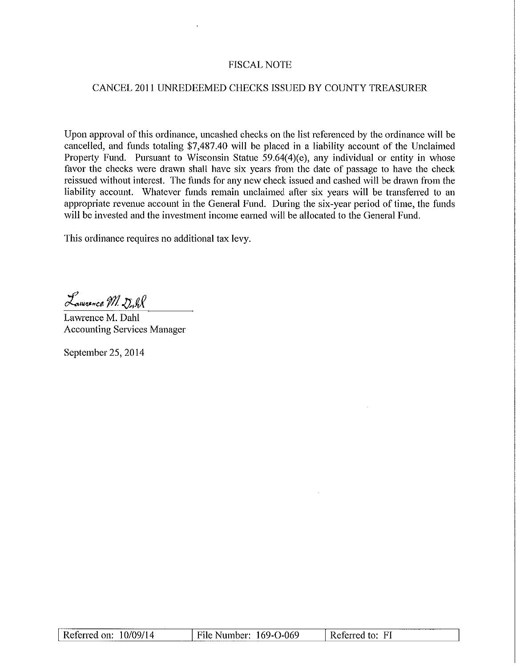## **FISCAL NOTE**

## CANCEL 2011 UNREDEEMED CHECKS ISSUED BY COUNTY TREASURER

Upon approval of this ordinance, uncashed checks on the list referenced by the ordinance will be cancelled, and funds totaling \$7,487.40 will be placed in a liability account of the Unclaimed Property Fund. Pursuant to Wisconsin Statue 59.64(4)(e), any individual or entity in whose favor the checks were drawn shall have six years from the date of passage to have the check reissued without interest. The funds for any new check issued and cashed will be drawn from the liability account. Whatever funds remain unclaimed after six years will be transferred to an appropriate revenue account in the General Fund. During the six-year period of time, the funds will be invested and the investment income earned will be allocated to the General Fund.

This ordinance requires no additional tax levy.

Lammerce M. Dall

Lawrence M. Dahl **Accounting Services Manager** 

September 25, 2014

|  | Referred on: $10/09/14$ | File Number: $169 - 0.069$ | Referred to: FI |  |
|--|-------------------------|----------------------------|-----------------|--|
|--|-------------------------|----------------------------|-----------------|--|